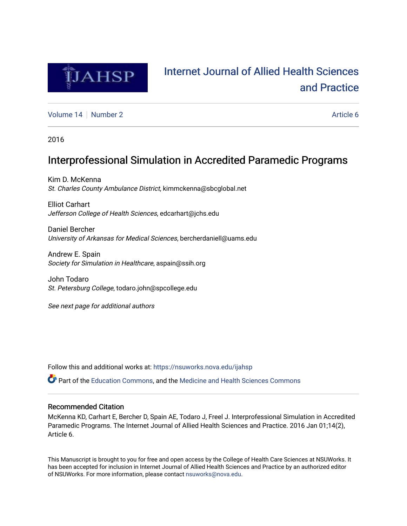

# [Internet Journal of Allied Health Sciences](https://nsuworks.nova.edu/ijahsp)  [and Practice](https://nsuworks.nova.edu/ijahsp)

[Volume 14](https://nsuworks.nova.edu/ijahsp/vol14) | [Number 2](https://nsuworks.nova.edu/ijahsp/vol14/iss2) Article 6

2016

# Interprofessional Simulation in Accredited Paramedic Programs

Kim D. McKenna St. Charles County Ambulance District, kimmckenna@sbcglobal.net

Elliot Carhart Jefferson College of Health Sciences, edcarhart@jchs.edu

Daniel Bercher University of Arkansas for Medical Sciences, bercherdaniell@uams.edu

Andrew E. Spain Society for Simulation in Healthcare, aspain@ssih.org

John Todaro St. Petersburg College, todaro.john@spcollege.edu

See next page for additional authors

Follow this and additional works at: [https://nsuworks.nova.edu/ijahsp](https://nsuworks.nova.edu/ijahsp?utm_source=nsuworks.nova.edu%2Fijahsp%2Fvol14%2Fiss2%2F6&utm_medium=PDF&utm_campaign=PDFCoverPages) 

**P** Part of the [Education Commons](http://network.bepress.com/hgg/discipline/784?utm_source=nsuworks.nova.edu%2Fijahsp%2Fvol14%2Fiss2%2F6&utm_medium=PDF&utm_campaign=PDFCoverPages), and the Medicine and Health Sciences Commons

#### Recommended Citation

McKenna KD, Carhart E, Bercher D, Spain AE, Todaro J, Freel J. Interprofessional Simulation in Accredited Paramedic Programs. The Internet Journal of Allied Health Sciences and Practice. 2016 Jan 01;14(2), Article 6.

This Manuscript is brought to you for free and open access by the College of Health Care Sciences at NSUWorks. It has been accepted for inclusion in Internet Journal of Allied Health Sciences and Practice by an authorized editor of NSUWorks. For more information, please contact [nsuworks@nova.edu.](mailto:nsuworks@nova.edu)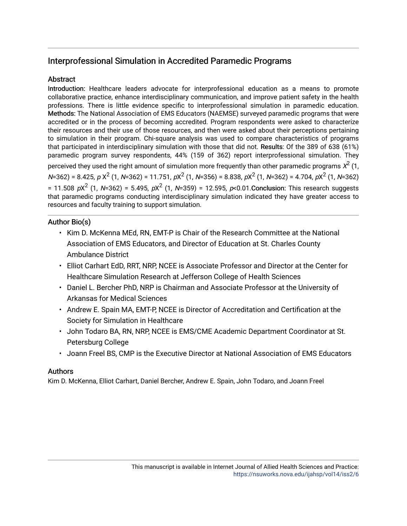# Interprofessional Simulation in Accredited Paramedic Programs

### **Abstract**

Introduction: Healthcare leaders advocate for interprofessional education as a means to promote collaborative practice, enhance interdisciplinary communication, and improve patient safety in the health professions. There is little evidence specific to interprofessional simulation in paramedic education. Methods: The National Association of EMS Educators (NAEMSE) surveyed paramedic programs that were accredited or in the process of becoming accredited. Program respondents were asked to characterize their resources and their use of those resources, and then were asked about their perceptions pertaining to simulation in their program. Chi-square analysis was used to compare characteristics of programs that participated in interdisciplinary simulation with those that did not. Results: Of the 389 of 638 (61%) paramedic program survey respondents, 44% (159 of 362) report interprofessional simulation. They perceived they used the right amount of simulation more frequently than other paramedic programs  $\chi^2$  (1, N=362) = 8.425, p  $X^2$  (1, N=362) = 11.751, p $X^2$  (1, N=356) = 8.838, p $X^2$  (1, N=362) = 4.704, p $X^2$  (1, N=362) = 11.508 pX<sup>2</sup> (1, N=362) = 5.495, pX<sup>2</sup> (1, N=359) = 12.595, p<0.01. Conclusion: This research suggests that paramedic programs conducting interdisciplinary simulation indicated they have greater access to resources and faculty training to support simulation.

## Author Bio(s)

- Kim D. McKenna MEd, RN, EMT-P is Chair of the Research Committee at the National Association of EMS Educators, and Director of Education at St. Charles County Ambulance District
- Elliot Carhart EdD, RRT, NRP, NCEE is Associate Professor and Director at the Center for Healthcare Simulation Research at Jefferson College of Health Sciences
- Daniel L. Bercher PhD, NRP is Chairman and Associate Professor at the University of Arkansas for Medical Sciences
- Andrew E. Spain MA, EMT-P, NCEE is Director of Accreditation and Certification at the Society for Simulation in Healthcare
- John Todaro BA, RN, NRP, NCEE is EMS/CME Academic Department Coordinator at St. Petersburg College
- Joann Freel BS, CMP is the Executive Director at National Association of EMS Educators

### Authors

Kim D. McKenna, Elliot Carhart, Daniel Bercher, Andrew E. Spain, John Todaro, and Joann Freel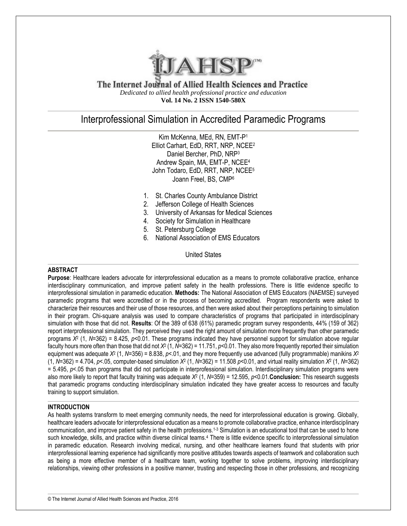

The Internet Journal of Allied Health Sciences and Practice *Dedicated to allied health professional practice and education* **Vol. 14 No. 2 ISSN 1540-580X**

## Interprofessional Simulation in Accredited Paramedic Programs

Kim McKenna, MEd, RN, EMT-P<sup>1</sup> Elliot Carhart, EdD, RRT, NRP, NCEE<sup>2</sup> Daniel Bercher, PhD, NRP<sup>3</sup> Andrew Spain, MA, EMT-P, NCEE<sup>4</sup> John Todaro, EdD, RRT, NRP, NCEE<sup>5</sup> Joann Freel, BS, CMP<sup>6</sup>

- 1. St. Charles County Ambulance District
- 2. Jefferson College of Health Sciences
- 3. University of Arkansas for Medical Sciences
- 4. Society for Simulation in Healthcare
- 5. St. Petersburg College
- 6. National Association of EMS Educators

United States

#### **ABSTRACT**

**Purpose**: Healthcare leaders advocate for interprofessional education as a means to promote collaborative practice, enhance interdisciplinary communication, and improve patient safety in the health professions. There is little evidence specific to interprofessional simulation in paramedic education. **Methods:** The National Association of EMS Educators (NAEMSE) surveyed paramedic programs that were accredited or in the process of becoming accredited. Program respondents were asked to characterize their resources and their use of those resources, and then were asked about their perceptions pertaining to simulation in their program. Chi-square analysis was used to compare characteristics of programs that participated in interdisciplinary simulation with those that did not. **Results**: Of the 389 of 638 (61%) paramedic program survey respondents, 44% (159 of 362) report interprofessional simulation. They perceived they used the right amount of simulation more frequently than other paramedic programs *X*<sup>2</sup> (1, *N*=362) = 8.425, *p*<0.01. These programs indicated they have personnel support for simulation above regular faculty hours more often than those that did not *X*<sup>2</sup> (1, *N*=362) = 11.751, *p*<0.01. They also more frequently reported their simulation equipment was adequate *X*<sup>2</sup> (1, *N*=356) = 8.838, *p*<.01, and they more frequently use advanced (fully programmable) manikins *X*<sup>2</sup> (1, *N*=362) = 4.704, *p*<.05, computer-based simulation *X*<sup>2</sup> (1, *N*=362) = 11.508 *p*<0.01, and virtual reality simulation *X*<sup>2</sup> (1, *N*=362)  $= 5.495$ ,  $p<$  05 than programs that did not participate in interprofessional simulation. Interdisciplinary simulation programs were also more likely to report that faculty training was adequate *X*<sup>2</sup> (1, *N*=359) = 12.595, *p*<0.01.**Conclusion:** This research suggests that paramedic programs conducting interdisciplinary simulation indicated they have greater access to resources and faculty training to support simulation.

#### **INTRODUCTION**

As health systems transform to meet emerging community needs, the need for interprofessional education is growing. Globally, healthcare leaders advocate for interprofessional education as a means to promote collaborative practice, enhance interdisciplinary communication, and improve patient safety in the health professions.1-3 Simulation is an educational tool that can be used to hone such knowledge, skills, and practice within diverse clinical teams.<sup>4</sup> There is little evidence specific to interprofessional simulation in paramedic education. Research involving medical, nursing, and other healthcare learners found that students with prior interprofessional learning experience had significantly more positive attitudes towards aspects of teamwork and collaboration such as being a more effective member of a healthcare team, working together to solve problems, improving interdisciplinary relationships, viewing other professions in a positive manner, trusting and respecting those in other professions, and recognizing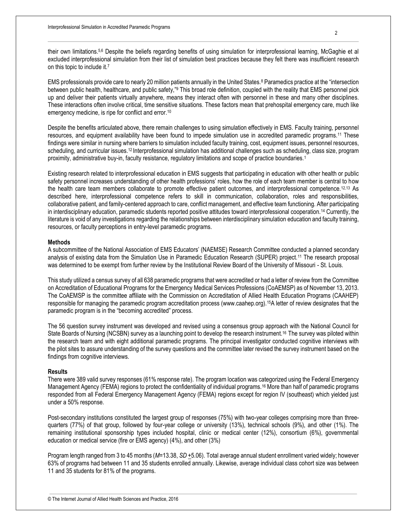their own limitations.5,6 Despite the beliefs regarding benefits of using simulation for interprofessional learning, McGaghie et al excluded interprofessional simulation from their list of simulation best practices because they felt there was insufficient research on this topic to include it.<sup>7</sup>

EMS professionals provide care to nearly 20 million patients annually in the United States.<sup>8</sup> Paramedics practice at the "intersection between public health, healthcare, and public safety,"<sup>9</sup> This broad role definition, coupled with the reality that EMS personnel pick up and deliver their patients virtually anywhere, means they interact often with personnel in these and many other disciplines. These interactions often involve critical, time sensitive situations. These factors mean that prehospital emergency care, much like emergency medicine, is ripe for conflict and error.<sup>10</sup>

Despite the benefits articulated above, there remain challenges to using simulation effectively in EMS. Faculty training, personnel resources, and equipment availability have been found to impede simulation use in accredited paramedic programs.<sup>11</sup> These findings were similar in nursing where barriers to simulation included faculty training, cost, equipment issues, personnel resources, scheduling, and curricular issues.<sup>12</sup> Interprofessional simulation has additional challenges such as scheduling, class size, program proximity, administrative buy-in, faculty resistance, regulatory limitations and scope of practice boundaries.<sup>1</sup>

Existing research related to interprofessional education in EMS suggests that participating in education with other health or public safety personnel increases understanding of other health professions' roles, how the role of each team member is central to how the health care team members collaborate to promote effective patient outcomes, and interprofessional competence.12,13 As described here, interprofessional competence refers to skill in communication, collaboration, roles and responsibilities, collaborative patient, and family-centered approach to care, conflict management, and effective team functioning. After participating in interdisciplinary education, paramedic students reported positive attitudes toward interprofessional cooperation.<sup>14</sup> Currently, the literature is void of any investigations regarding the relationships between interdisciplinary simulation education and faculty training, resources, or faculty perceptions in entry-level paramedic programs.

#### **Methods**

A subcommittee of the National Association of EMS Educators' (NAEMSE) Research Committee conducted a planned secondary analysis of existing data from the Simulation Use in Paramedic Education Research (SUPER) project.<sup>11</sup> The research proposal was determined to be exempt from further review by the Institutional Review Board of the University of Missouri - St. Louis.

This study utilized a census survey of all 638 paramedic programs that were accredited or had a letter of review from the Committee on Accreditation of Educational Programs for the Emergency Medical Services Professions (CoAEMSP) as of November 13, 2013. The CoAEMSP is the committee affiliate with the Commission on Accreditation of Allied Health Education Programs (CAAHEP) responsible for managing the paramedic program accreditation process (www.caahep.org).15A letter of review designates that the paramedic program is in the "becoming accredited" process.

The 56 question survey instrument was developed and revised using a consensus group approach with the National Council for State Boards of Nursing (NCSBN) survey as a launching point to develop the research instrument.<sup>16</sup> The survey was piloted within the research team and with eight additional paramedic programs. The principal investigator conducted cognitive interviews with the pilot sites to assure understanding of the survey questions and the committee later revised the survey instrument based on the findings from cognitive interviews.

#### **Results**

There were 389 valid survey responses (61% response rate). The program location was categorized using the Federal Emergency Management Agency (FEMA) regions to protect the confidentiality of individual programs.<sup>16</sup> More than half of paramedic programs responded from all Federal Emergency Management Agency (FEMA) regions except for region IV (southeast) which yielded just under a 50% response.

Post-secondary institutions constituted the largest group of responses (75%) with two-year colleges comprising more than threequarters (77%) of that group, followed by four-year college or university (13%), technical schools (9%), and other (1%). The remaining institutional sponsorship types included hospital, clinic or medical center (12%), consortium (6%), governmental education or medical service (fire or EMS agency) (4%), and other (3%)

Program length ranged from 3 to 45 months (*M*=13.38, *SD* +5.06). Total average annual student enrollment varied widely; however 63% of programs had between 11 and 35 students enrolled annually. Likewise, average individual class cohort size was between 11 and 35 students for 81% of the programs.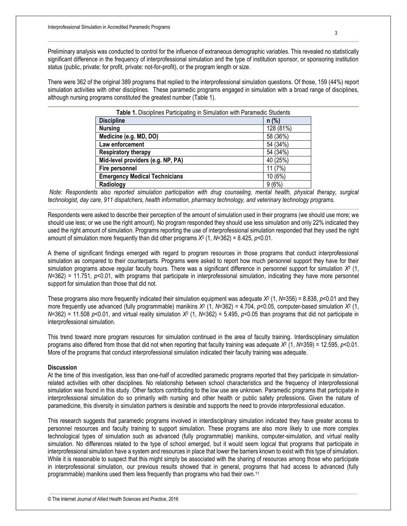Preliminary analysis was conducted to control for the influence of extraneous demographic variables. This revealed no statistically significant difference in the frequency of interprofessional simulation and the type of institution sponsor, or sponsoring institution status (public, private: for profit, private: not-for-profit), or the program length or size.

There were 362 of the original 389 programs that replied to the interprofessional simulation questions. Of those, 159 (44%) report simulation activities with other disciplines. These paramedic programs engaged in simulation with a broad range of disciplines, although nursing programs constituted the greatest number (Table 1).

| Table 1. Disciplines Participating in Simulation with Paramedic Students |           |
|--------------------------------------------------------------------------|-----------|
| <b>Discipline</b>                                                        | $n$ (%)   |
| <b>Nursing</b>                                                           | 128 (81%) |
| Medicine (e.g. MD, DO)                                                   | 58 (36%)  |
| Law enforcement                                                          | 54 (34%)  |
| <b>Respiratory therapy</b>                                               | 54 (34%)  |
| Mid-level providers (e.g. NP, PA)                                        | 40 (25%)  |
| Fire personnel                                                           | 11 (7%)   |
| <b>Emergency Medical Technicians</b>                                     | 10 (6%)   |
| Radiology                                                                | 9(6%)     |

*Note: Respondents also reported simulation participation with drug counseling, mental health, physical therapy, surgical technologist, day care, 911 dispatchers, health information, pharmacy technology, and veterinary technology programs.*

Respondents were asked to describe their perception of the amount of simulation used in their programs (we should use more; we should use less; or we use the right amount). No program responded they should use less simulation and only 22% indicated they used the right amount of simulation. Programs reporting the use of interprofessional simulation responded that they used the right amount of simulation more frequently than did other programs *X*<sup>2</sup> (1, *N*=362) = 8.425, *p*<0.01.

A theme of significant findings emerged with regard to program resources in those programs that conduct interprofessional simulation as compared to their counterparts. Programs were asked to report how much personnel support they have for their simulation programs above regular faculty hours. There was a significant difference in personnel support for simulation *X*<sup>2</sup> (1, *N*=362) = 11.751, *p*<0.01, with programs that participate in interprofessional simulation, indicating they have more personnel support for simulation than those that did not.

These programs also more frequently indicated their simulation equipment was adequate *X*<sup>2</sup> (1, *N*=356) = 8.838, *p*<0.01 and they more frequently use advanced (fully programmable) manikins  $X^2$  (1, N=362) = 4.704, p<0.05, computer-based simulation  $X^2$  (1,  $N=362$ ) = 11.508 *p*<0.01, and virtual reality simulation  $X^2$  (1,  $N=362$ ) = 5.495, *p*<0.05 than programs that did not participate in interprofessional simulation.

This trend toward more program resources for simulation continued in the area of faculty training. Interdisciplinary simulation programs also differed from those that did not when reporting that faculty training was adequate *X*<sup>2</sup> (1, *N*=359) = 12.595, *p*<0.01. More of the programs that conduct interprofessional simulation indicated their faculty training was adequate.

#### **Discussion**

At the time of this investigation, less than one-half of accredited paramedic programs reported that they participate in simulationrelated activities with other disciplines. No relationship between school characteristics and the frequency of interprofessional simulation was found in this study. Other factors contributing to the low use are unknown. Paramedic programs that participate in interprofessional simulation do so primarily with nursing and other health or public safety professions. Given the nature of paramedicine, this diversity in simulation partners is desirable and supports the need to provide interprofessional education.

This research suggests that paramedic programs involved in interdisciplinary simulation indicated they have greater access to personnel resources and faculty training to support simulation. These programs are also more likely to use more complex technological types of simulation such as advanced (fully programmable) manikins, computer-simulation, and virtual reality simulation. No differences related to the type of school emerged, but it would seem logical that programs that participate in interprofessional simulation have a system and resources in place that lower the barriers known to exist with this type of simulation. While it is reasonable to suspect that this might simply be associated with the sharing of resources among those who participate in interprofessional simulation, our previous results showed that in general, programs that had access to advanced (fully programmable) manikins used them less frequently than programs who had their own.11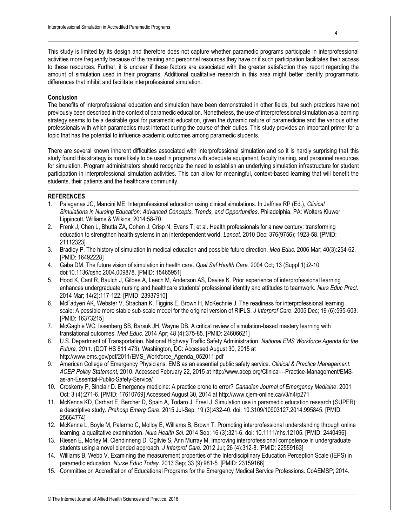This study is limited by its design and therefore does not capture whether paramedic programs participate in interprofessional activities more frequently because of the training and personnel resources they have or if such participation facilitates their access to these resources. Further, it is unclear if these factors are associated with the greater satisfaction they report regarding the amount of simulation used in their programs. Additional qualitative research in this area might better identify programmatic differences that inhibit and facilitate interprofessional simulation.

#### **Conclusion**

The benefits of interprofessional education and simulation have been demonstrated in other fields, but such practices have not previously been described in the context of paramedic education. Nonetheless, the use of interprofessional simulation as a learning strategy seems to be a desirable goal for paramedic education, given the dynamic nature of paramedicine and the various other professionals with which paramedics must interact during the course of their duties. This study provides an important primer for a topic that has the potential to influence academic outcomes among paramedic students.

There are several known inherent difficulties associated with interprofessional simulation and so it is hardly surprising that this study found this strategy is more likely to be used in programs with adequate equipment, faculty training, and personnel resources for simulation. Program administrators should recognize the need to establish an underlying simulation infrastructure for student participation in interprofessional simulation activities. This can allow for meaningful, context-based learning that will benefit the students, their patients and the healthcare community.

#### **REFERENCES**

- 1. Palaganas JC, Mancini ME. Interprofessional education using clinical simulations. In Jeffries RP (Ed.), *Clinical Simulations in Nursing Education: Advanced Concepts, Trends, and Opportunities*. Philadelphia, PA: Wolters Kluwer Lippincott, Williams & Wilkins; 2014:58-70.
- 2. Frenk J, Chen L, Bhutta ZA, Cohen J, Crisp N, Evans T, et al. Health professionals for a new century: transforming education to strengthen health systems in an interdependent world. *Lancet.* 2010 Dec; 376(9756); 1923-58. [PMID: 21112323]
- 3. Bradley P. The history of simulation in medical education and possible future direction. *Med Educ.* 2006 Mar; 40(3):254-62. [PMID: 16492228]
- 4. Gaba DM. The future vision of simulation in health care. *Qual Saf Health Care.* 2004 Oct; 13 (Suppl 1):i2-10. doi:10.1136/qshc.2004.009878. [PMID: 15465951]
- 5. Hood K, Cant R, Baulch J, Gilbee A, Leech M, Anderson AS, Davies K. Prior experience of interprofessional learning enhances undergraduate nursing and healthcare students' professional identity and attitudes to teamwork. *Nurs Educ Pract*. 2014 Mar; 14(2):117-122. [PMID: 23937910]
- 6. McFadyen AK, Webster V, Strachan K, Figgins E, Brown H, McKechnie J. The readiness for interprofessional learning scale: A possible more stable sub-scale model for the original version of RIPLS. *J Interprof Care*. 2005 Dec; 19 (6):595-603. [PMID: 16373215]
- 7. McGaghie WC, Issenberg SB, Barsuk JH, Wayne DB. A critical review of simulation-based mastery learning with translational outcomes. *Med Educ*. 2014 Apr; 48 (4):375-85. [PMID: 24606621]
- 8. U.S. Department of Transportation, National Highway Traffic Safety Administration. *National EMS Workforce Agenda for the Future, 2011*. (DOT HS 811 473). Washington, DC: Accessed August 30, 2015 at [http://www.ems.gov/pdf/2011/EMS\\_Workforce\\_Agenda\\_052011.pdf](http://www.ems.gov/pdf/2011/EMS_Workforce_Agenda_052011.pdf)
- 9. American College of Emergency Physicians. EMS as an essential public safety service. *Clinical & Practice Management: ACEP Policy Statement,* 2010. Accessed February 22, 2015 at [http://www.acep.org/Clinical---Practice-Management/EMS](http://www.acep.org/Clinical---Practice-Management/EMS-as-an-Essential-Public-Safety-Service/)[as-an-Essential-Public-Safety-Service/](http://www.acep.org/Clinical---Practice-Management/EMS-as-an-Essential-Public-Safety-Service/)
- 10. Croskerry P, Sinclair D. Emergency medicine: A practice prone to error? *Canadian Journal of Emergency Medicine*. 2001 Oct; 3 (4):271-6. [PMID: 17610769] Accessed August 30, 2014 at<http://www.cjem-online.ca/v3/n4/p271>
- 11. McKenna KD, Carhart E, Bercher D, Spain A, Todaro J, Freel J. Simulation use in paramedic education research (SUPER): a descriptive study. *Prehosp Emerg Care*. 2015 Jul-Sep; 19 (3):432-40. doi: 10.3109/10903127.2014.995845. [PMID: 25664774]
- 12. McKenna L, Boyle M, Palermo C, Molloy E, Williams B, Brown T. Promoting interprofessional understanding through online learning: a qualitative examination. *Nurs Health Sci*. 2014 Sep; 16 (3):321-6. doi: 10.1111/nhs.12105. [PMID: 2440496]
- 13. Riesen E, Morley M, Clendinneng D, Ogilvie S, Ann Murray M. Improving interprofessional competence in undergraduate students using a novel blended approach. *J Interprof Care.* 2012 Jul; 26 (4):312-8. [PMID: 22559163]
- 14. Williams B, Webb V. Examining the measurement properties of the Interdisciplinary Education Perception Scale (IEPS) in paramedic education. *Nurse Educ Today*. 2013 Sep; 33 (9):981-5. [PMID: 23159166]
- 15. Committee on Accreditation of Educational Programs for the Emergency Medical Service Professions. CoAEMSP; 2014.